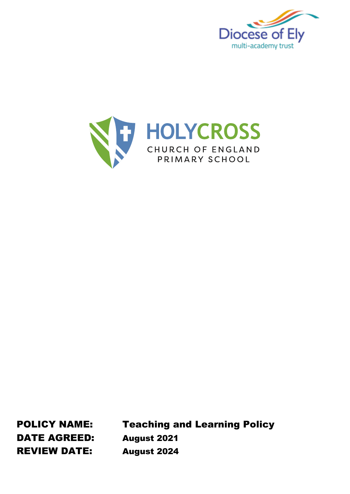



DATE AGREED: August 2021 REVIEW DATE: August 2024

POLICY NAME: Teaching and Learning Policy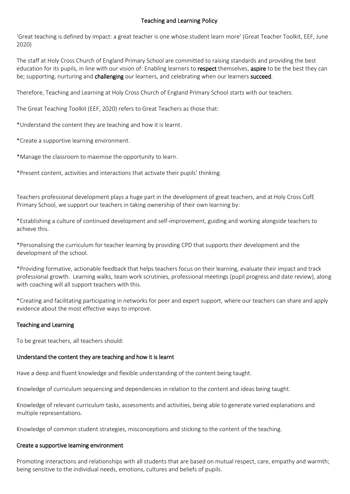## Teaching and Learning Policy

'Great teaching is defined by impact: a great teacher is one whose student learn more' (Great Teacher Toolkit, EEF, June 2020)

The staff at Holy Cross Church of England Primary School are committed to raising standards and providing the best education for its pupils, in line with our vision of: Enabling learners to respect themselves, aspire to be the best they can be; supporting, nurturing and challenging our learners, and celebrating when our learners succeed.

Therefore, Teaching and Learning at Holy Cross Church of England Primary School starts with our teachers.

The Great Teaching Toolkit (EEF, 2020) refers to Great Teachers as those that:

\*Understand the content they are teaching and how it is learnt.

\*Create a supportive learning environment.

\*Manage the classroom to maximise the opportunity to learn.

\*Present content, activities and interactions that activate their pupils' thinking.

Teachers professional development plays a huge part in the development of great teachers, and at Holy Cross CofE Primary School, we support our teachers in taking ownership of their own learning by:

\*Establishing a culture of continued development and self-improvement, guiding and working alongside teachers to achieve this.

\*Personalising the curriculum for teacher learning by providing CPD that supports their development and the development of the school.

\*Providing formative, actionable feedback that helps teachers focus on their learning, evaluate their impact and track professional growth. Learning walks, team work scrutinies, professional meetings (pupil progress and date review), along with coaching will all support teachers with this.

\*Creating and facilitating participating in networks for peer and expert support, where our teachers can share and apply evidence about the most effective ways to improve.

## Teaching and Learning

To be great teachers, all teachers should:

## Understand the content they are teaching and how it is learnt

Have a deep and fluent knowledge and flexible understanding of the content being taught.

Knowledge of curriculum sequencing and dependencies in relation to the content and ideas being taught.

Knowledge of relevant curriculum tasks, assessments and activities, being able to generate varied explanations and multiple representations.

Knowledge of common student strategies, misconceptions and sticking to the content of the teaching.

#### Create a supportive learning environment

Promoting interactions and relationships with all students that are based on mutual respect, care, empathy and warmth; being sensitive to the individual needs, emotions, cultures and beliefs of pupils.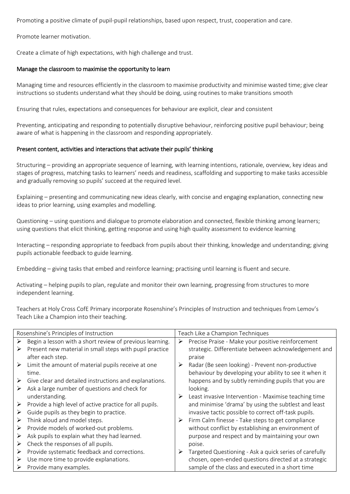Promoting a positive climate of pupil-pupil relationships, based upon respect, trust, cooperation and care.

Promote learner motivation.

Create a climate of high expectations, with high challenge and trust.

### Manage the classroom to maximise the opportunity to learn

Managing time and resources efficiently in the classroom to maximise productivity and minimise wasted time; give clear instructions so students understand what they should be doing, using routines to make transitions smooth

Ensuring that rules, expectations and consequences for behaviour are explicit, clear and consistent

Preventing, anticipating and responding to potentially disruptive behaviour, reinforcing positive pupil behaviour; being aware of what is happening in the classroom and responding appropriately.

### Present content, activities and interactions that activate their pupils' thinking

Structuring – providing an appropriate sequence of learning, with learning intentions, rationale, overview, key ideas and stages of progress, matching tasks to learners' needs and readiness, scaffolding and supporting to make tasks accessible and gradually removing so pupils' succeed at the required level.

Explaining – presenting and communicating new ideas clearly, with concise and engaging explanation, connecting new ideas to prior learning, using examples and modelling.

Questioning – using questions and dialogue to promote elaboration and connected, flexible thinking among learners; using questions that elicit thinking, getting response and using high quality assessment to evidence learning

Interacting – responding appropriate to feedback from pupils about their thinking, knowledge and understanding; giving pupils actionable feedback to guide learning.

Embedding – giving tasks that embed and reinforce learning; practising until learning is fluent and secure.

Activating – helping pupils to plan, regulate and monitor their own learning, progressing from structures to more independent learning.

Teachers at Holy Cross CofE Primary incorporate Rosenshine's Principles of Instruction and techniques from Lemov's Teach Like a Champion into their teaching.

| Rosenshine's Principles of Instruction |                                                          | Teach Like a Champion Techniques |                                                        |
|----------------------------------------|----------------------------------------------------------|----------------------------------|--------------------------------------------------------|
| ➤                                      | Begin a lesson with a short review of previous learning. | ➤                                | Precise Praise - Make your positive reinforcement      |
| ➤                                      | Present new material in small steps with pupil practice  |                                  | strategic. Differentiate between acknowledgement and   |
|                                        | after each step.                                         |                                  | praise                                                 |
| ➤                                      | Limit the amount of material pupils receive at one       | ➤                                | Radar (Be seen looking) - Prevent non-productive       |
|                                        | time.                                                    |                                  | behaviour by developing your ability to see it when it |
| ➤                                      | Give clear and detailed instructions and explanations.   |                                  | happens and by subtly reminding pupils that you are    |
| ➤                                      | Ask a large number of questions and check for            |                                  | looking.                                               |
|                                        | understanding.                                           | ➤                                | Least invasive Intervention - Maximise teaching time   |
| ➤                                      | Provide a high level of active practice for all pupils.  |                                  | and minimise 'drama' by using the subtlest and least   |
| ➤                                      | Guide pupils as they begin to practice.                  |                                  | invasive tactic possible to correct off-task pupils.   |
| ➤                                      | Think aloud and model steps.                             |                                  | Firm Calm finesse - Take steps to get compliance       |
| ➤                                      | Provide models of worked-out problems.                   |                                  | without conflict by establishing an environment of     |
| ➤                                      | Ask pupils to explain what they had learned.             |                                  | purpose and respect and by maintaining your own        |
| ➤                                      | Check the responses of all pupils.                       |                                  | poise.                                                 |
| ➤                                      | Provide systematic feedback and corrections.             | ➤                                | Targeted Questioning - Ask a quick series of carefully |
| ➤                                      | Use more time to provide explanations.                   |                                  | chosen, open-ended questions directed at a strategic   |
| ➤                                      | Provide many examples.                                   |                                  | sample of the class and executed in a short time       |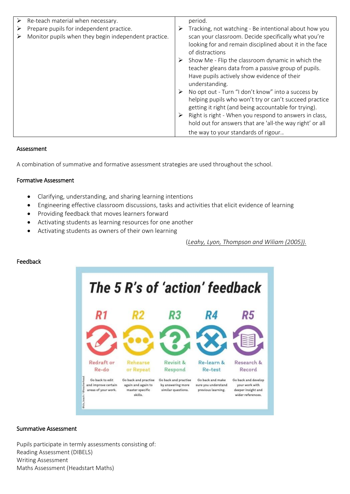| Re-teach material when necessary.                    | period.                                                                                                                                                                                                                                                                                                                                                                                                                                                                                                                                                                                                       |
|------------------------------------------------------|---------------------------------------------------------------------------------------------------------------------------------------------------------------------------------------------------------------------------------------------------------------------------------------------------------------------------------------------------------------------------------------------------------------------------------------------------------------------------------------------------------------------------------------------------------------------------------------------------------------|
| Prepare pupils for independent practice.             | Tracking, not watching - Be intentional about how you                                                                                                                                                                                                                                                                                                                                                                                                                                                                                                                                                         |
| Monitor pupils when they begin independent practice. | scan your classroom. Decide specifically what you're<br>looking for and remain disciplined about it in the face<br>of distractions<br>Show Me - Flip the classroom dynamic in which the<br>teacher gleans data from a passive group of pupils.<br>Have pupils actively show evidence of their<br>understanding.<br>No opt out - Turn "I don't know" into a success by<br>helping pupils who won't try or can't succeed practice<br>getting it right (and being accountable for trying).<br>Right is right - When you respond to answers in class,<br>hold out for answers that are 'all-the way right' or all |
|                                                      | the way to your standards of rigour                                                                                                                                                                                                                                                                                                                                                                                                                                                                                                                                                                           |

## Assessment

A combination of summative and formative assessment strategies are used throughout the school.

## Formative Assessment

- Clarifying, understanding, and sharing learning intentions
- Engineering effective classroom discussions, tasks and activities that elicit evidence of learning
- Providing feedback that moves learners forward
- Activating students as learning resources for one another
- Activating students as owners of their own learning

(*Leahy, Lyon, [Thompson](http://www.ascd.org/publications/educational-leadership/nov05/vol63/num03/Classroom-Assessment@-Minute-by-Minute,-Day-by-Day.aspx) and Wiliam (2005)).*

## Feedback



## Summative Assessment

Pupils participate in termly assessments consisting of: Reading Assessment (DIBELS) Writing Assessment Maths Assessment (Headstart Maths)